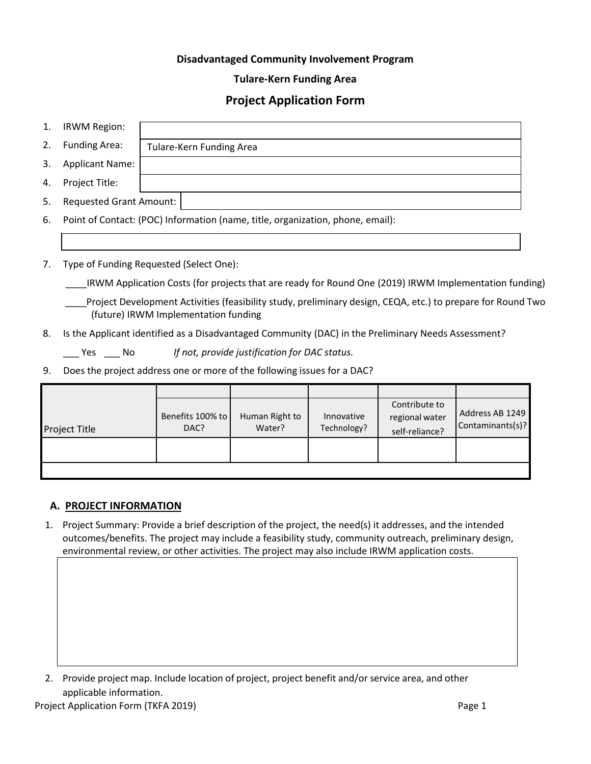# **Disadvantaged Community Involvement Program**

## **Tulare-Kern Funding Area**

# **Project Application Form**

| 1. | <b>IRWM Region:</b>                                                                                                                                 |                                                                                  |                          |                           |                                                   |                                     |  |
|----|-----------------------------------------------------------------------------------------------------------------------------------------------------|----------------------------------------------------------------------------------|--------------------------|---------------------------|---------------------------------------------------|-------------------------------------|--|
| 2. | <b>Funding Area:</b>                                                                                                                                | <b>Tulare-Kern Funding Area</b>                                                  |                          |                           |                                                   |                                     |  |
| 3. | <b>Applicant Name:</b>                                                                                                                              |                                                                                  |                          |                           |                                                   |                                     |  |
| 4. | Project Title:                                                                                                                                      |                                                                                  |                          |                           |                                                   |                                     |  |
| 5. | <b>Requested Grant Amount:</b>                                                                                                                      |                                                                                  |                          |                           |                                                   |                                     |  |
| 6. |                                                                                                                                                     | Point of Contact: (POC) Information (name, title, organization, phone, email):   |                          |                           |                                                   |                                     |  |
|    |                                                                                                                                                     |                                                                                  |                          |                           |                                                   |                                     |  |
| 7. | Type of Funding Requested (Select One):                                                                                                             |                                                                                  |                          |                           |                                                   |                                     |  |
|    | IRWM Application Costs (for projects that are ready for Round One (2019) IRWM Implementation funding)                                               |                                                                                  |                          |                           |                                                   |                                     |  |
|    | Project Development Activities (feasibility study, preliminary design, CEQA, etc.) to prepare for Round Two<br>(future) IRWM Implementation funding |                                                                                  |                          |                           |                                                   |                                     |  |
| 8. | Is the Applicant identified as a Disadvantaged Community (DAC) in the Preliminary Needs Assessment?                                                 |                                                                                  |                          |                           |                                                   |                                     |  |
|    |                                                                                                                                                     | $\mathcal{L}$ Yes $\mathcal{L}$ No If not, provide justification for DAC status. |                          |                           |                                                   |                                     |  |
| 9. | Does the project address one or more of the following issues for a DAC?                                                                             |                                                                                  |                          |                           |                                                   |                                     |  |
|    |                                                                                                                                                     |                                                                                  |                          |                           |                                                   |                                     |  |
|    | <b>Project Title</b>                                                                                                                                | Benefits 100% to<br>DAC?                                                         | Human Right to<br>Water? | Innovative<br>Technology? | Contribute to<br>regional water<br>self-reliance? | Address AB 1249<br>Contaminants(s)? |  |

2. Provide project map. Include location of project, project benefit and/or service area, and other applicable information.

1. Project Summary: Provide a brief description of the project, the need(s) it addresses, and the intended outcomes/benefits. The project may include a feasibility study, community outreach, preliminary design,

environmental review, or other activities. The project may also include IRWM application costs.

**A. PROJECT INFORMATION**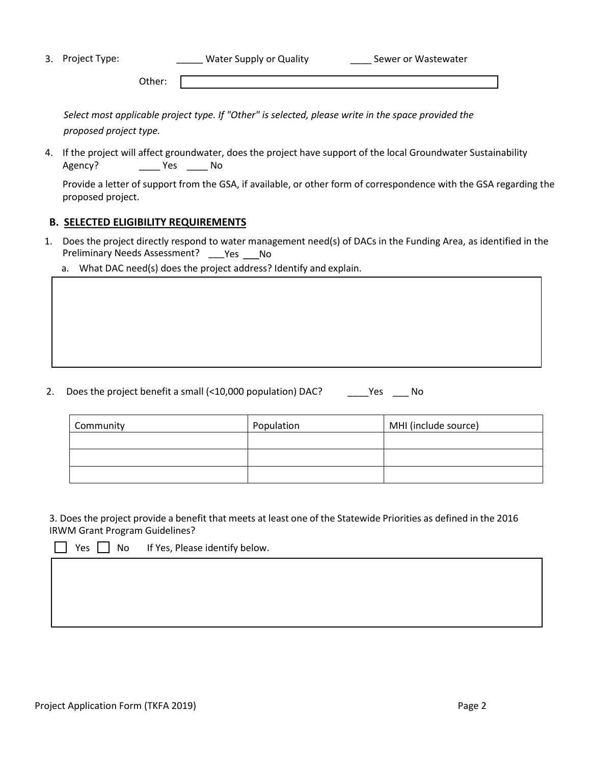| 3. Project Type: | Water Supply or Quality | Sewer or Wastewater |  |
|------------------|-------------------------|---------------------|--|
|                  | Other:                  |                     |  |

*Select most applicable project type. If "Other" is selected, please write in the space provided the proposed project type.*

4. If the project will affect groundwater, does the project have support of the local Groundwater Sustainability Agency? \_\_\_\_\_\_\_\_ Yes \_\_\_\_\_\_ No

Provide a letter of support from the GSA, if available, or other form of correspondence with the GSA regarding the proposed project.

## **B. SELECTED ELIGIBILITY REQUIREMENTS**

- 1. Does the project directly respond to water management need(s) of DACs in the Funding Area, as identified in the Preliminary Needs Assessment? \_\_\_ Yes \_\_\_ No
	- a. What DAC need(s) does the project address? Identify and explain.

## 2. Does the project benefit a small (<10,000 population) DAC? \_\_\_\_\_Yes \_\_\_\_ No

| Community | Population | MHI (include source) |
|-----------|------------|----------------------|
|           |            |                      |
|           |            |                      |
|           |            |                      |

3. Does the project provide a benefit that meets at least one of the Statewide Priorities as defined in the 2016 IRWM Grant Program Guidelines?

es  $\vert \ \vert$  No If Yes, Please identify below.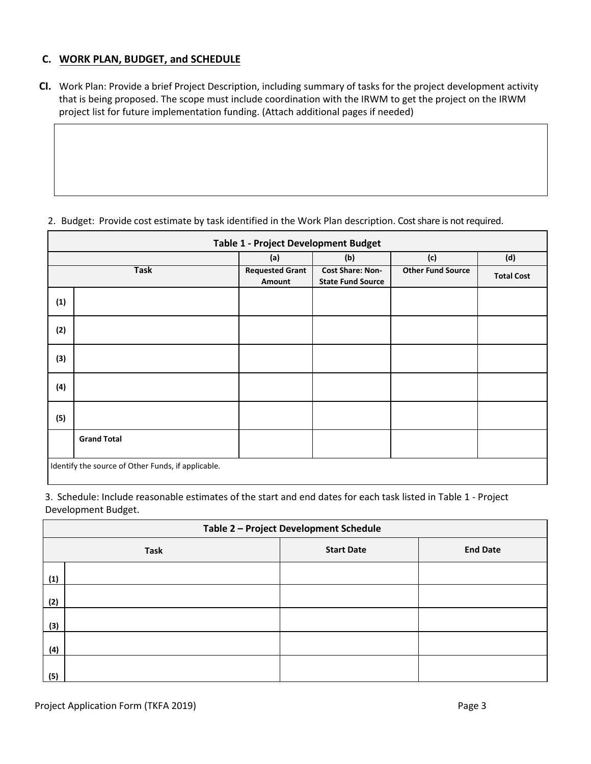# **C. WORK PLAN, BUDGET, and SCHEDULE**

**CI.** Work Plan: Provide a brief Project Description, including summary of tasks for the project development activity that is being proposed. The scope must include coordination with the IRWM to get the project on the IRWM project list for future implementation funding. (Attach additional pages if needed)

|             | <b>Table 1 - Project Development Budget</b>        |                                  |                                                     |                          |                   |  |  |
|-------------|----------------------------------------------------|----------------------------------|-----------------------------------------------------|--------------------------|-------------------|--|--|
|             | (c)<br>(d)<br>(a)<br>(b)                           |                                  |                                                     |                          |                   |  |  |
| <b>Task</b> |                                                    | <b>Requested Grant</b><br>Amount | <b>Cost Share: Non-</b><br><b>State Fund Source</b> | <b>Other Fund Source</b> | <b>Total Cost</b> |  |  |
| (1)         |                                                    |                                  |                                                     |                          |                   |  |  |
| (2)         |                                                    |                                  |                                                     |                          |                   |  |  |
| (3)         |                                                    |                                  |                                                     |                          |                   |  |  |
| (4)         |                                                    |                                  |                                                     |                          |                   |  |  |
| (5)         |                                                    |                                  |                                                     |                          |                   |  |  |
|             | <b>Grand Total</b>                                 |                                  |                                                     |                          |                   |  |  |
|             | Identify the source of Other Funds, if applicable. |                                  |                                                     |                          |                   |  |  |

2. Budget: Provide cost estimate by task identified in the Work Plan description. Cost share is not required.

3. Schedule: Include reasonable estimates of the start and end dates for each task listed in Table 1 - Project Development Budget.

|     | Table 2 - Project Development Schedule              |  |  |  |  |  |
|-----|-----------------------------------------------------|--|--|--|--|--|
|     | <b>End Date</b><br><b>Start Date</b><br><b>Task</b> |  |  |  |  |  |
| (1) |                                                     |  |  |  |  |  |
| (2) |                                                     |  |  |  |  |  |
| (3) |                                                     |  |  |  |  |  |
| (4) |                                                     |  |  |  |  |  |
| (5) |                                                     |  |  |  |  |  |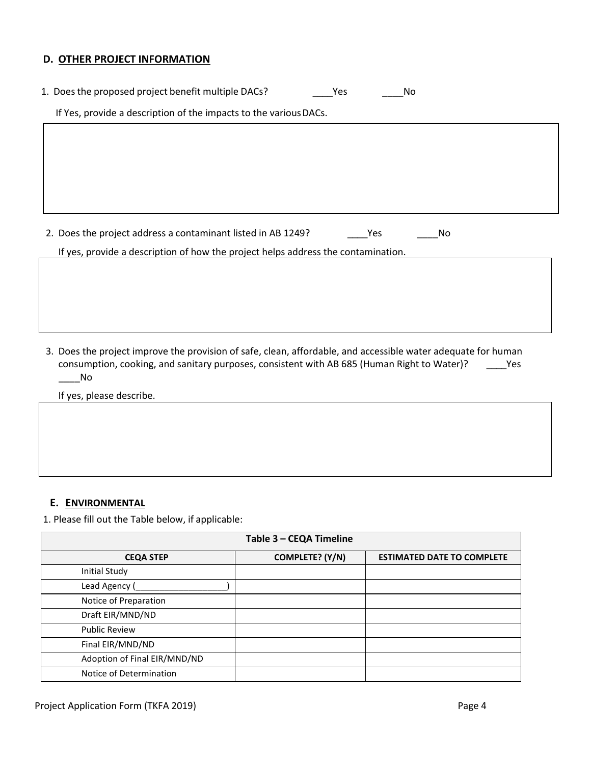#### **D. OTHER PROJECT INFORMATION**

| 1. Does the proposed project benefit multiple DACs?               | Yes<br>No |
|-------------------------------------------------------------------|-----------|
| If Yes, provide a description of the impacts to the various DACs. |           |
|                                                                   |           |
|                                                                   |           |
|                                                                   |           |
|                                                                   |           |
|                                                                   |           |

2. Does the project address a contaminant listed in AB 1249? The Most Most Contact Most Contact Most Contact Mo

If yes, provide a description of how the project helps address the contamination.

3. Does the project improve the provision of safe, clean, affordable, and accessible water adequate for human consumption, cooking, and sanitary purposes, consistent with AB 685 (Human Right to Water)? \_\_\_\_Yes  $\blacksquare$  No

If yes, please describe.

## **E. ENVIRONMENTAL**

1. Please fill out the Table below, if applicable:

|                              | Table 3 - CEQA Timeline |                                   |  |  |  |
|------------------------------|-------------------------|-----------------------------------|--|--|--|
| <b>CEQA STEP</b>             | COMPLETE? (Y/N)         | <b>ESTIMATED DATE TO COMPLETE</b> |  |  |  |
| Initial Study                |                         |                                   |  |  |  |
| Lead Agency (                |                         |                                   |  |  |  |
| Notice of Preparation        |                         |                                   |  |  |  |
| Draft EIR/MND/ND             |                         |                                   |  |  |  |
| <b>Public Review</b>         |                         |                                   |  |  |  |
| Final EIR/MND/ND             |                         |                                   |  |  |  |
| Adoption of Final EIR/MND/ND |                         |                                   |  |  |  |
| Notice of Determination      |                         |                                   |  |  |  |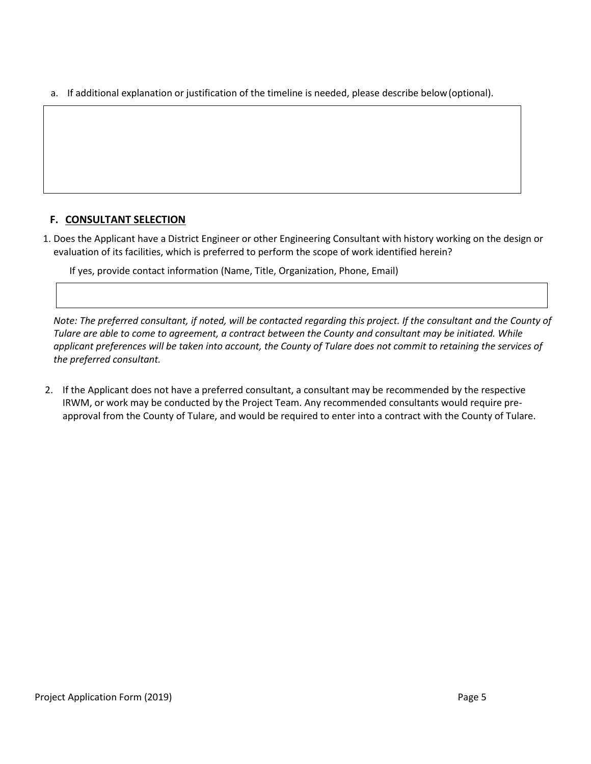a. If additional explanation or justification of the timeline is needed, please describe below(optional).

# **F. CONSULTANT SELECTION**

1. Does the Applicant have a District Engineer or other Engineering Consultant with history working on the design or evaluation of its facilities, which is preferred to perform the scope of work identified herein?

If yes, provide contact information (Name, Title, Organization, Phone, Email)

*Note: The preferred consultant, if noted, will be contacted regarding this project. If the consultant and the County of Tulare are able to come to agreement, a contract between the County and consultant may be initiated. While applicant preferences will be taken into account, the County of Tulare does not commit to retaining the services of the preferred consultant.*

2. If the Applicant does not have a preferred consultant, a consultant may be recommended by the respective IRWM, or work may be conducted by the Project Team. Any recommended consultants would require preapproval from the County of Tulare, and would be required to enter into a contract with the County of Tulare.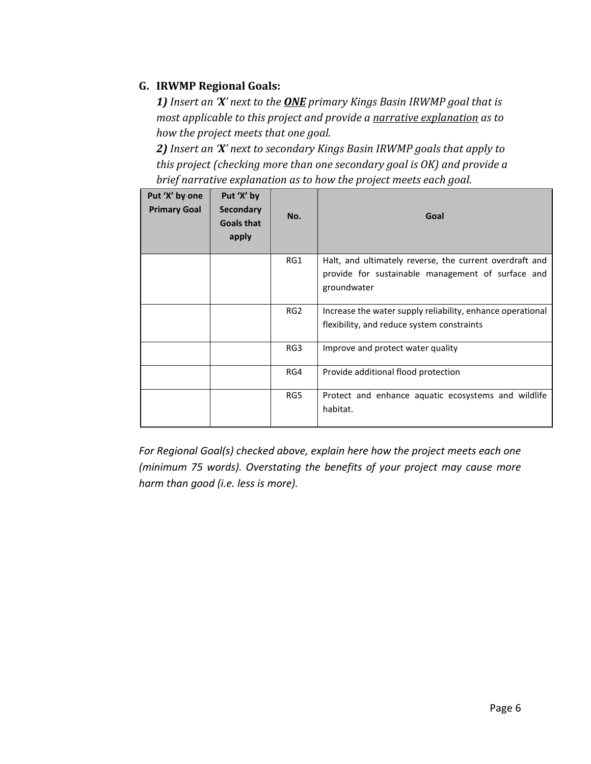# **G. IRWMP Regional Goals:**

*1) Insert an 'X' next to the ONE primary Kings Basin IRWMP goal that is most applicable to this project and provide a narrative explanation as to how the project meets that one goal.*

*2) Insert an 'X' next to secondary Kings Basin IRWMP goals that apply to this project (checking more than one secondary goal is OK) and provide a brief narrative explanation as to how the project meets each goal.*

| Put 'X' by one<br><b>Primary Goal</b> | Put 'X' by<br><b>Secondary</b><br><b>Goals that</b><br>apply | No.             | Goal                                                                                                                        |
|---------------------------------------|--------------------------------------------------------------|-----------------|-----------------------------------------------------------------------------------------------------------------------------|
|                                       |                                                              | RG1             | Halt, and ultimately reverse, the current overdraft and<br>provide for sustainable management of surface and<br>groundwater |
|                                       |                                                              | RG <sub>2</sub> | Increase the water supply reliability, enhance operational<br>flexibility, and reduce system constraints                    |
|                                       |                                                              | RG3             | Improve and protect water quality                                                                                           |
|                                       |                                                              | RG4             | Provide additional flood protection                                                                                         |
|                                       |                                                              | RG5             | Protect and enhance aquatic ecosystems and wildlife<br>habitat.                                                             |

*For Regional Goal(s) checked above, explain here how the project meets each one (minimum 75 words). Overstating the benefits of your project may cause more harm than good (i.e. less is more).*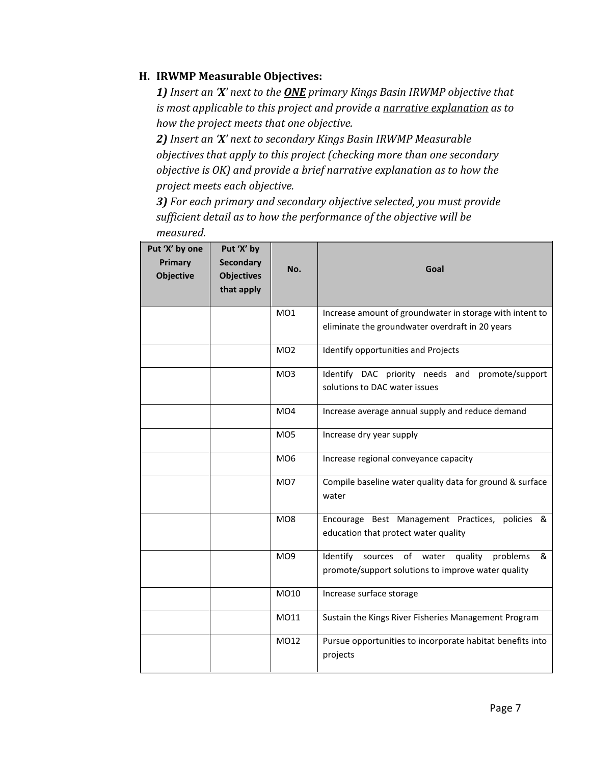# **H. IRWMP Measurable Objectives:**

*1) Insert an 'X' next to the ONE primary Kings Basin IRWMP objective that is most applicable to this project and provide a narrative explanation as to how the project meets that one objective.*

*2) Insert an 'X' next to secondary Kings Basin IRWMP Measurable objectives that apply to this project (checking more than one secondary objective is OK) and provide a brief narrative explanation as to how the project meets each objective.* 

*3) For each primary and secondary objective selected, you must provide sufficient detail as to how the performance of the objective will be measured.* 

| Put 'X' by one<br>Primary<br>Objective | Put 'X' by<br><b>Secondary</b><br><b>Objectives</b><br>that apply | No.             | Goal                                                                                                           |
|----------------------------------------|-------------------------------------------------------------------|-----------------|----------------------------------------------------------------------------------------------------------------|
|                                        |                                                                   | MO1             | Increase amount of groundwater in storage with intent to                                                       |
|                                        |                                                                   |                 | eliminate the groundwater overdraft in 20 years                                                                |
|                                        |                                                                   | MO <sub>2</sub> | Identify opportunities and Projects                                                                            |
|                                        |                                                                   | MO <sub>3</sub> | Identify DAC priority needs and promote/support                                                                |
|                                        |                                                                   |                 | solutions to DAC water issues                                                                                  |
|                                        |                                                                   | MO <sub>4</sub> | Increase average annual supply and reduce demand                                                               |
|                                        |                                                                   | MO <sub>5</sub> | Increase dry year supply                                                                                       |
|                                        |                                                                   | MO <sub>6</sub> | Increase regional conveyance capacity                                                                          |
|                                        |                                                                   | MO7             | Compile baseline water quality data for ground & surface<br>water                                              |
|                                        |                                                                   | MO8             | Encourage Best Management Practices, policies &<br>education that protect water quality                        |
|                                        |                                                                   | MO9             | Identify<br>sources of water<br>quality<br>problems<br>&<br>promote/support solutions to improve water quality |
|                                        |                                                                   | MO10            | Increase surface storage                                                                                       |
|                                        |                                                                   | M011            | Sustain the Kings River Fisheries Management Program                                                           |
|                                        |                                                                   | MO12            | Pursue opportunities to incorporate habitat benefits into<br>projects                                          |